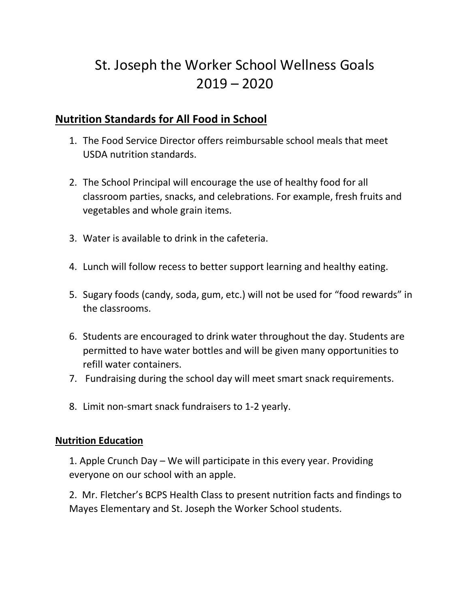# St. Joseph the Worker School Wellness Goals  $2019 - 2020$

## **Nutrition Standards for All Food in School**

- 1. The Food Service Director offers reimbursable school meals that meet USDA nutrition standards.
- 2. The School Principal will encourage the use of healthy food for all classroom parties, snacks, and celebrations. For example, fresh fruits and vegetables and whole grain items.
- 3. Water is available to drink in the cafeteria.
- 4. Lunch will follow recess to better support learning and healthy eating.
- 5. Sugary foods (candy, soda, gum, etc.) will not be used for "food rewards" in the classrooms.
- 6. Students are encouraged to drink water throughout the day. Students are permitted to have water bottles and will be given many opportunities to refill water containers.
- 7. Fundraising during the school day will meet smart snack requirements.
- 8. Limit non-smart snack fundraisers to 1-2 yearly.

#### **Nutrition Education**

1. Apple Crunch Day – We will participate in this every year. Providing everyone on our school with an apple.

2. Mr. Fletcher's BCPS Health Class to present nutrition facts and findings to Mayes Elementary and St. Joseph the Worker School students.